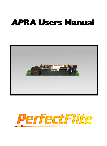# *APRA* **Users Manual**



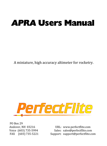# *APRA* **Users Manual**

A miniature, high accuracy altimeter for rocketry.



PO Box 29

Andover, NH 03216 URL: www.perfectflite.com Voice (603) 735-5994 Sales: sales@perfectflite.com FAX (603) 735-5221 Support: support@perfectflite.com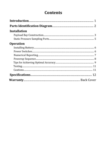# **Contents**

| <b>Installation</b> |  |
|---------------------|--|
|                     |  |
|                     |  |
| <b>Operation</b>    |  |
|                     |  |
|                     |  |
|                     |  |
|                     |  |
|                     |  |
|                     |  |
|                     |  |
|                     |  |
|                     |  |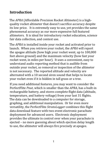## **Introduction**

The *APRA* (Affordable Precision Rocket Altimeter) is a highquality rocket altimeter that doesn't sacrifice accuracy despite its low price. It is extremely easy to use, yet provides the same phenomenal accuracy as our more expensive full featured altimeters. It is ideal for introductory rocket education, science fair data collection, and contest use.

The *APRA* is installed inside your rocket and activated prior to launch. When you retrieve your rocket, the *APRA* will report the apogee altitude (how high your rocket went, up to 100,000 feet above ground) and the maximum velocity (how fast your rocket went, in miles per hour). It uses a convenient, easy to understand audio reporting method that is audible from outside your rocket, so removal or inspection of the altimeter is not necessary. The reported altitude and velocity are alternated with a 10 second siren sound that helps to locate your rocket even if it is hidden in tall grass or a tree.

If you need additional features, you may want to consider the PerfectFlite *Pnut*, which is smaller than the *APRA*, has a built-in rechargeable battery, and stores complete flight data (altitude, temperature, and battery voltage) from your last 31 flights. The data can be downloaded to a computer for storage, graphing, and additional manipulation. Or for even more versatility, the PerfectFlite *StratoLogger* combines this flight data download feature with two event electronic parachute deployment for advanced users. Electronic deployment provides the ultimate in control over when your parachute is ejected – no more guessing about which ejection delay length to use, the altimeter will always fire precisely at apogee.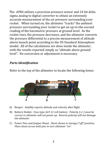The *APRA* utilizes a precision pressure sensor and 24 bit delta sigma analog to digital converter to obtain an extremely accurate measurement of the air pressure surrounding your rocket. When turned on, the altimeter "tracks" the ambient pressure surrounding your rocket to get an up-to-the-second reading of the barometric pressure at ground level. As the rocket rises, the pressure decreases, and the altimeter converts the pressure differential to a precise measurement of altitude above launch point according to the US Standard Atmosphere model. All of the calculations are done inside the altimeter, with the results reported simply as "altitude above ground level". No conversion or adjustment is necessary.

#### *Parts Identification*

Refer to the top of the altimeter to locate the following items:



- A) Beeper: Audibly reports altitude and velocity after flight.
- B) Battery Holder: Uses type A23 12 volt battery. *Polarity (+/-) must be correct or altimeter will not power up. Reverse polarity will not damage the altimeter.*
- C) Power Pins and Jumper Shunt. *Shunt shown in storage ("off") position. Place shunt across both pins to turn altimeter "on".*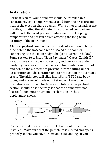# **Installation**

For best results, your altimeter should be installed in a separate payload compartment, sealed from the pressure and heat of the ejection charge gasses. While other alternatives are possible, isolating the altimeter in a protected compartment will provide the most precise readings and will keep high temperature and pressure from affecting the long-term accuracy of the instrument.

A typical payload compartment consists of a section of body tube behind the nosecone with a sealed tube coupler connecting it to the main body tube (see illustration below). Some rockets (e.g. Estes "Nova Payloader", Quest "Zenith II") already have such a payload section, and one can be added easily if yours does not. Use pieces of foam rubber in front of and behind the altimeter to prevent it from shifting under acceleration and deceleration and to protect it in the event of a crash. The altimeter will slide into 18mm/BT20 size body tubes, and a "sleeve" made out of standard foam pipe insulation can be used for larger size tubes. Your payload section should close securely so that the altimeter is not "ejected" upon motor burnout deceleration or chute deployment shock.



Perform initial testing of your rocket without the altimeter installed. Make sure that the parachute is ejected and opens properly so that you have a slow and safe landing. If you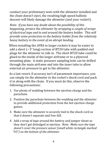conduct your preliminary tests with the altimeter installed and the chute doesn't eject, the resulting high speed ballistic descent will likely damage the altimeter (and your rocket!).

*Note: If you have any doubt about the possibility of this happening, protect the altimeter by wrapping a couple of wraps of electrical tape end to end around the battery holder. This will provide some protection to the battery holder from the relatively heavy battery in the event of an abrupt landing.*

When installing the *APRA* in larger rockets it may be easier to add a short  $\left(\sim 3'' \text{ long}\right)$  section of BT20 tube with padded end plugs for the altimeter to ride in. The short BT20 tube could be glued to the inside of the larger airframe or to a plywood mounting plate. A static pressure sampling hole can be drilled through the main airframe and into the inner tube to allow external air pressure to get to the altimeter.

As a last resort, if accuracy isn't of paramount importance, you can simply tie the altimeter to the rocket's shock cord and pack it in along with the chute. If you must do this, observe the following precautions:

- 1. Use plenty of wadding between the ejection charge and the parachute.
- 2. Position the parachute between the wadding and the altimeter to provide additional protection from the hot ejection charge gasses.
- 3. Make sure the altimeter is securely tied to the shock cord so that it doesn't separate and free-fall.
- 4. Add a wrap of tape around the battery and jumper shunt so they don't get dislodged at ejection. *Note: Make sure the tape doesn't cover the pressure sensor (small white rectangle marked "U3") on the bottom of the altimeter.*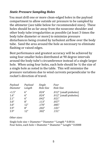#### *Static Pressure Sampling Holes*

You must drill one or more clean-edged holes in the payload compartment to allow outside air pressure to be sampled by the altimeter (see table below for recommended sizes). These holes should be as far away from the nosecone shoulder and other body tube irregularities as possible (at least 3 times the body tube diameter or more) to minimize pressure disturbances being created by turbulent airflow over the body tube. Sand the area around the hole as necessary to eliminate flashing or raised edges.

Best performance and greatest accuracy will be achieved by using four smaller holes distributed at 90 degree intervals around the body tube's circumference instead of a single larger hole. When using four holes, each hole should be ½ the size of a single hole as noted in the table. This will minimize the pressure variations due to wind currents perpendicular to the rocket's direction of travel.

| Payload<br>Diameter | Payload<br>Length | Single<br>Hole Size | Four<br>Hole Size      |
|---------------------|-------------------|---------------------|------------------------|
| <1.5"               | 6"                | .024''              | .012" (small pinholes) |
| 1.6"                | 6"                | .024"               | .012" (small pinholes) |
| 2.1"                | 6"                | .042"               | .021''                 |
| 3.0"                | 8"                | .113''              | .057"                  |
| 3.0"                | 12"               | .170''              | .085''                 |
| 3.9''               | 8"                | .202"               | .101"                  |
| 3.9''               | 12"               | .302"               | .151''                 |

#### *Other sizes:*

Single hole size = Diameter \* Diameter \* Length \* 0.0016 Four holes, each hole = Diameter \* Diameter \* Length \* 0.0008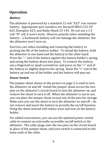# **Operation**

#### *Battery*

The altimeter is powered by a standard 12 volt "A23" size remote battery. Appropriate part numbers are Duracell MN21/23, GP A23, Energizer A23, and Radio Shack 23-144. Do not use a 1.5 volt "N" cell, it won't work. Observe polarity when installing the battery – a backwards battery will not damage the altimeter, but the altimeter won't turn on.

Exercise care when installing and removing the battery to prolong the life of the battery holder: To install the battery, hold the altimeter in one hand and the battery in the other hand. Press the "-" end of the battery against the battery holder's spring, and swing the battery down into place. To remove the battery, use a fingernail or small screwdriver and press on the "+" end of the battery to slightly depress the spring. Raise the "+" end of the battery up and out of the holder and the battery will pop out.

#### *Power Switch*

The jumper shunt shown in the picture on page 2 is used to turn the altimeter on and off. Install the jumper shunt across the two pins on the altimeter's circuit board to turn the altimeter on, and remove the shunt to turn it off. When the altimeter is not in use, you can place the jumper shunt on just one of the pins for storage. Make sure you use the shunt to turn the altimeter on and off – do not remove and insert the battery to provide the on/off function. Using the shunt instead will reduce wear and tear on the battery holder.

For added convenience, you can use the optional power switch cable to connect an externally-accessible on/off switch to the altimeter. The cable plugs onto the two pins on the circuit board in place of the jumper shunt, and your switch is connected to the loose ends of the cable.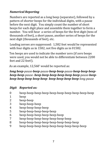#### *Numerical Reporting*

Numbers are reported as a long beep (separator), followed by a pattern of shorter beeps for the individual digits, with a pause before the next digit. You simply count the number of short beeps for each digit place and assemble them together to form a number. You will hear a series of beeps for the first digit (tens of thousands of feet), a short pause, another series of beeps for the next digit (thousands of feet), etc.

Leading zeroes are suppressed: 1,582 feet would be represented with four digits as in 1582, not five digits as in 01582.

Ten beeps are used to indicate the number zero (if zero beeps were used, you would not be able to differentiate between 2200 feet and 22 feet!).

As an example, 12,560' would be reported as:

#### *long beep-pause-beep-pause-beep-beep-pause-beep-beep-beepbeep-beep-pause- beep-beep-beep-beep-beep-beep-pause-beepbeep-beep-beep-beep-beep- beep-beep-beep-beep-long pause*

#### *Digit Reported as:*

- 0 beep-beep-beep-beep-beep-beep-beep-beep-beep-beep
- 1 beep
- 2 beep-beep
- 3 beep-beep-beep
- 4 beep-beep-beep-beep
- 5 beep-beep-beep-beep-beep
- 6 beep-beep-beep-beep-beep-beep
- 7 beep-beep-beep-beep-beep-beep-beep
- 8 beep-beep-beep-beep-beep-beep-beep-beep
- 9 beep-beep-beep-beep-beep-beep-beep-beep-beep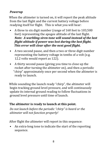#### *Powerup*

When the altimeter is turned on, it will report the peak altitude from the last flight and the current battery voltage before readying itself for flight. This is what you will hear:

- A three to six digit number (range of 160 feet to 103,500 feet) representing the apogee altitude of the last flight. *Note: A warbling siren tone will sound instead of the last flight altitude if power was lost during the last flight. This error will clear after the next good flight.*
- A two second pause, and then a two or three digit number representing the battery voltage in tenths of a volt (e.g. 12.2 volts would report as 122).
- A thirty second pause (giving you time to close up the rocket after turning the altimeter on), and then a periodic "chirp" approximately once per second when the altimeter is ready to launch.

While sounding the launch ready "chirp", the altimeter will begin tracking ground level pressure, and will continuously update its internal ground reading to follow fluctuations in ground level pressure until time of launch.

### **The altimeter is ready to launch at this point.**

*Do not launch before the periodic "chirp" is heard or the altimeter will not function properly!*

After flight the altimeter will report in this sequence:

• An extra-long tone to indicate the start of the reporting sequence.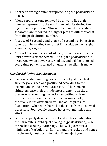- A three to six digit number representing the peak altitude in feet.
- A long separator tone followed by a two to five digit number representing the maximum velocity during the flight in miles per hour. This number, and its preceding separator, are reported in a higher pitch to differentiate it from the peak altitude number.
- A pause of 5 seconds, and then a 10 second warbling siren tone to aid in locating the rocket if it is hidden from sight in a tree, tall grass, etc.
- After a 10 second period of silence, the sequence repeats until power is disconnected. The flight's peak altitude is preserved when power is turned off, and will be reported every time power is turned on until a new flight is made.

#### *Tips for Achieving Best Accuracy*

- Use four static sampling ports instead of just one. Make sure they are sized and positioned according to the instructions in the previous section. All barometric altimeters base their altitude measurements on the air pressure surrounding the rocket, so getting a clean, turbulence-free sample is essential. A single hole, especially if it is over-sized, will introduce pressure fluctuations whenever the rocket deviates from its normal trajectory. Four evenly-spaced holes will minimize this effect.
- With a properly designed rocket and motor combination. the parachute should eject at apogee (peak altitude), when the rocket is nearly stationary. This will guarantee a minimum of turbulent airflow around the rocket, and hence the cleanest, most accurate data. If you eject your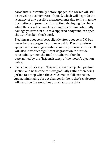parachute substantially before apogee, the rocket will still be traveling at a high rate of speed, which will degrade the accuracy of any possible measurements due to the massive fluctuations in pressure. In addition, deploying the chute while the rocket is traveling at high speed can potentially damage your rocket due to a zippered body tube, stripped chute, or broken shock cord.

 Ejecting at apogee is best, slightly after apogee is OK, but never before apogee if you can avoid it. Ejecting before apogee will always guarantee a loss in potential altitude. It will also introduce significant degradation in altitude repeatability since the final altitude will then be determined by the (in)consistency of the motor's ejection delay.

• Use a *long* shock cord. This will allow the ejected payload section and nose cone to slow gradually rather then being jerked to a stop when the cord comes to full extension. Again, minimizing abrupt changes in the rocket's trajectory will result in the smoothest, most accurate data.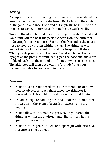### *Testing*

A simple apparatus for testing the altimeter can be made with a small jar and a length of plastic hose. Drill a hole in the center of the jar's lid and insert one end of the plastic hose. Glue hose in place to achieve a tight seal (hot melt glue works well).

Turn on the altimeter and place it in the jar. Tighten the lid and wait until you can hear the periodic beep from the altimeter indicating launch readiness. Suck on the free end of the plastic hose to create a vacuum within the jar. The altimeter will sense this as a launch condition and the beeping will stop. When you stop sucking on the hose, the altimeter will sense apogee as the pressure stabilizes. Open the hose and allow air to bleed back into the jar and the altimeter will sense descent. The altimeter will then beep out the "altitude" that your vacuum was able to create within the jar.

#### *Cautions*

- Do not touch circuit board traces or components or allow metallic objects to touch them when the altimeter is powered on. This could cause damage to your altimeter.
- Provide adequate padding fore and aft of the altimeter for protection in the event of a crash or excessively hard landing.
- Do not allow the altimeter to get wet. Only operate the altimeter within the environmental limits listed in the specifications section.
- Do not rupture pressure sensor diaphragm with excessive pressure or sharp object.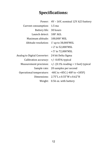# **Specifications:**

| Power: 4V - 16V, nominal 12V A23 battery |
|------------------------------------------|
| $1.5 \text{ ma}$                         |
| 30 hours                                 |
| 100' AGL                                 |
| 100,000' MSL                             |
| $1'$ up to $38,000'$ MSL                 |
| < 2' to 52,000'MSL                       |
| < 5' to 72,000'MSL                       |
| 24 bit Delta Sigma                       |
| $+/- 0.05\%$ typical                     |
| $+$ /- (0.1% reading + 1 foot) typical   |
| 20 samples per second                    |
| $-40C$ to $+85C$ ( $-40F$ to $+185F$ )   |
| $2.75"$ L x 0.55"W x 0.62"H              |
| 0.56 oz. with battery                    |
|                                          |